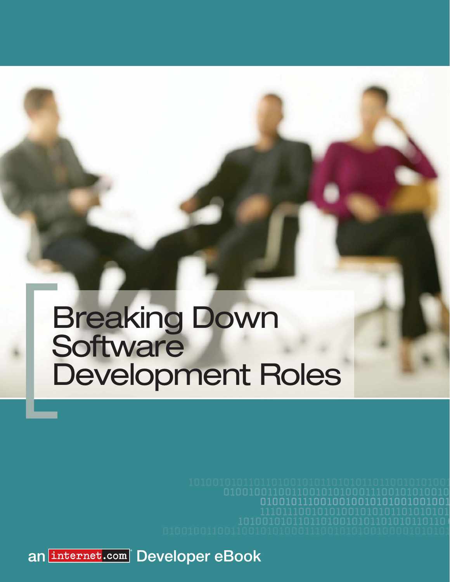01001011100100100101

an **internet.com** Developer eBook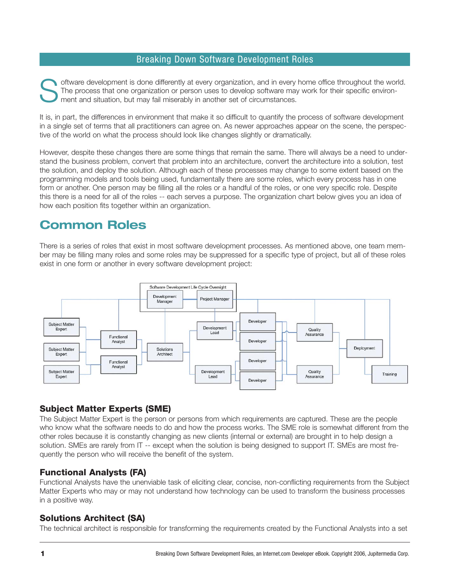oftware development is done differently at every organization, and in every home office throughout the world. The process that one organization or person uses to develop software may work for their specific environment and situation, but may fail miserably in another set of circumstances.

It is, in part, the differences in environment that make it so difficult to quantify the process of software development in a single set of terms that all practitioners can agree on. As newer approaches appear on the scene, the perspective of the world on what the process should look like changes slightly or dramatically.

However, despite these changes there are some things that remain the same. There will always be a need to understand the business problem, convert that problem into an architecture, convert the architecture into a solution, test the solution, and deploy the solution. Although each of these processes may change to some extent based on the programming models and tools being used, fundamentally there are some roles, which every process has in one form or another. One person may be filling all the roles or a handful of the roles, or one very specific role. Despite this there is a need for all of the roles -- each serves a purpose. The organization chart below gives you an idea of how each position fits together within an organization.

# **Common Roles**

There is a series of roles that exist in most software development processes. As mentioned above, one team member may be filling many roles and some roles may be suppressed for a specific type of project, but all of these roles exist in one form or another in every software development project:



### **Subject Matter Experts (SME)**

The Subject Matter Expert is the person or persons from which requirements are captured. These are the people who know what the software needs to do and how the process works. The SME role is somewhat different from the other roles because it is constantly changing as new clients (internal or external) are brought in to help design a solution. SMEs are rarely from IT -- except when the solution is being designed to support IT. SMEs are most frequently the person who will receive the benefit of the system.

### **Functional Analysts (FA)**

Functional Analysts have the unenviable task of eliciting clear, concise, non-conflicting requirements from the Subject Matter Experts who may or may not understand how technology can be used to transform the business processes in a positive way.

### **Solutions Architect (SA)**

The technical architect is responsible for transforming the requirements created by the Functional Analysts into a set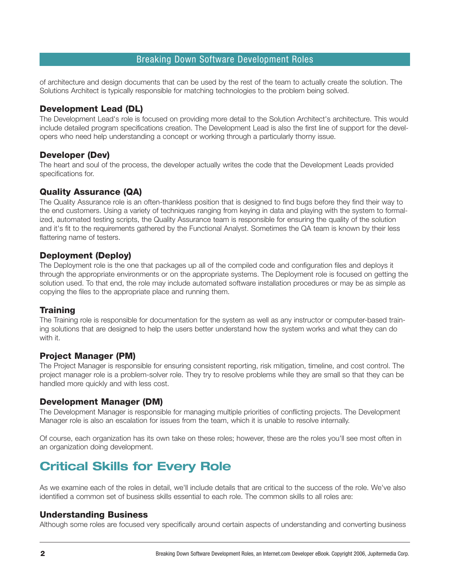of architecture and design documents that can be used by the rest of the team to actually create the solution. The Solutions Architect is typically responsible for matching technologies to the problem being solved.

### **Development Lead (DL)**

The Development Lead's role is focused on providing more detail to the Solution Architect's architecture. This would include detailed program specifications creation. The Development Lead is also the first line of support for the developers who need help understanding a concept or working through a particularly thorny issue.

### **Developer (Dev)**

The heart and soul of the process, the developer actually writes the code that the Development Leads provided specifications for.

### **Quality Assurance (QA)**

The Quality Assurance role is an often-thankless position that is designed to find bugs before they find their way to the end customers. Using a variety of techniques ranging from keying in data and playing with the system to formalized, automated testing scripts, the Quality Assurance team is responsible for ensuring the quality of the solution and it's fit to the requirements gathered by the Functional Analyst. Sometimes the QA team is known by their less flattering name of testers.

### **Deployment (Deploy)**

The Deployment role is the one that packages up all of the compiled code and configuration files and deploys it through the appropriate environments or on the appropriate systems. The Deployment role is focused on getting the solution used. To that end, the role may include automated software installation procedures or may be as simple as copying the files to the appropriate place and running them.

### **Training**

The Training role is responsible for documentation for the system as well as any instructor or computer-based training solutions that are designed to help the users better understand how the system works and what they can do with it.

### **Project Manager (PM)**

The Project Manager is responsible for ensuring consistent reporting, risk mitigation, timeline, and cost control. The project manager role is a problem-solver role. They try to resolve problems while they are small so that they can be handled more quickly and with less cost.

### **Development Manager (DM)**

The Development Manager is responsible for managing multiple priorities of conflicting projects. The Development Manager role is also an escalation for issues from the team, which it is unable to resolve internally.

Of course, each organization has its own take on these roles; however, these are the roles you'll see most often in an organization doing development.

# **Critical Skills for Every Role**

As we examine each of the roles in detail, we'll include details that are critical to the success of the role. We've also identified a common set of business skills essential to each role. The common skills to all roles are:

### **Understanding Business**

Although some roles are focused very specifically around certain aspects of understanding and converting business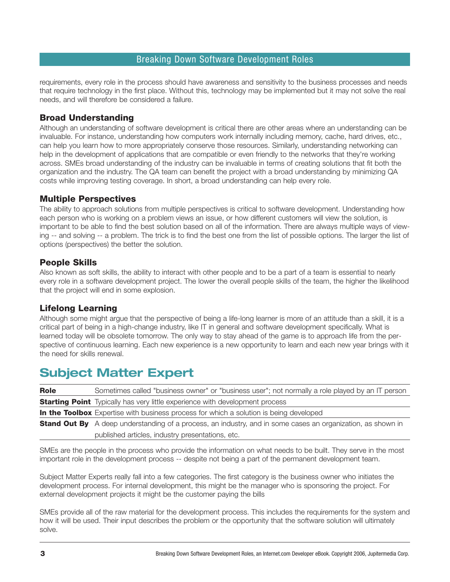requirements, every role in the process should have awareness and sensitivity to the business processes and needs that require technology in the first place. Without this, technology may be implemented but it may not solve the real needs, and will therefore be considered a failure.

### **Broad Understanding**

Although an understanding of software development is critical there are other areas where an understanding can be invaluable. For instance, understanding how computers work internally including memory, cache, hard drives, etc., can help you learn how to more appropriately conserve those resources. Similarly, understanding networking can help in the development of applications that are compatible or even friendly to the networks that they're working across. SMEs broad understanding of the industry can be invaluable in terms of creating solutions that fit both the organization and the industry. The QA team can benefit the project with a broad understanding by minimizing QA costs while improving testing coverage. In short, a broad understanding can help every role.

### **Multiple Perspectives**

The ability to approach solutions from multiple perspectives is critical to software development. Understanding how each person who is working on a problem views an issue, or how different customers will view the solution, is important to be able to find the best solution based on all of the information. There are always multiple ways of viewing -- and solving -- a problem. The trick is to find the best one from the list of possible options. The larger the list of options (perspectives) the better the solution.

### **People Skills**

Also known as soft skills, the ability to interact with other people and to be a part of a team is essential to nearly every role in a software development project. The lower the overall people skills of the team, the higher the likelihood that the project will end in some explosion.

### **Lifelong Learning**

Although some might argue that the perspective of being a life-long learner is more of an attitude than a skill, it is a critical part of being in a high-change industry, like IT in general and software development specifically. What is learned today will be obsolete tomorrow. The only way to stay ahead of the game is to approach life from the perspective of continuous learning. Each new experience is a new opportunity to learn and each new year brings with it the need for skills renewal.

# **Subject Matter Expert**

| <b>Role</b> | Sometimes called "business owner" or "business user"; not normally a role played by an IT person                   |
|-------------|--------------------------------------------------------------------------------------------------------------------|
|             | <b>Starting Point</b> Typically has very little experience with development process                                |
|             | In the Toolbox Expertise with business process for which a solution is being developed                             |
|             | <b>Stand Out By</b> A deep understanding of a process, an industry, and in some cases an organization, as shown in |
|             | published articles, industry presentations, etc.                                                                   |

SMEs are the people in the process who provide the information on what needs to be built. They serve in the most important role in the development process -- despite not being a part of the permanent development team.

Subject Matter Experts really fall into a few categories. The first category is the business owner who initiates the development process. For internal development, this might be the manager who is sponsoring the project. For external development projects it might be the customer paying the bills

SMEs provide all of the raw material for the development process. This includes the requirements for the system and how it will be used. Their input describes the problem or the opportunity that the software solution will ultimately solve.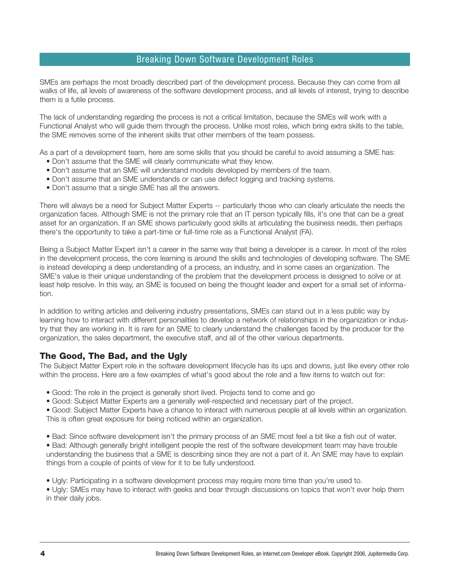SMEs are perhaps the most broadly described part of the development process. Because they can come from all walks of life, all levels of awareness of the software development process, and all levels of interest, trying to describe them is a futile process.

The lack of understanding regarding the process is not a critical limitation, because the SMEs will work with a Functional Analyst who will guide them through the process. Unlike most roles, which bring extra skills to the table, the SME removes some of the inherent skills that other members of the team possess.

As a part of a development team, here are some skills that you should be careful to avoid assuming a SME has:

- Don't assume that the SME will clearly communicate what they know.
- Don't assume that an SME will understand models developed by members of the team.
- Don't assume that an SME understands or can use defect logging and tracking systems.
- Don't assume that a single SME has all the answers.

There will always be a need for Subject Matter Experts -- particularly those who can clearly articulate the needs the organization faces. Although SME is not the primary role that an IT person typically fills, it's one that can be a great asset for an organization. If an SME shows particularly good skills at articulating the business needs, then perhaps there's the opportunity to take a part-time or full-time role as a Functional Analyst (FA).

Being a Subject Matter Expert isn't a career in the same way that being a developer is a career. In most of the roles in the development process, the core learning is around the skills and technologies of developing software. The SME is instead developing a deep understanding of a process, an industry, and in some cases an organization. The SME's value is their unique understanding of the problem that the development process is designed to solve or at least help resolve. In this way, an SME is focused on being the thought leader and expert for a small set of information.

In addition to writing articles and delivering industry presentations, SMEs can stand out in a less public way by learning how to interact with different personalities to develop a network of relationships in the organization or industry that they are working in. It is rare for an SME to clearly understand the challenges faced by the producer for the organization, the sales department, the executive staff, and all of the other various departments.

### **The Good, The Bad, and the Ugly**

The Subject Matter Expert role in the software development lifecycle has its ups and downs, just like every other role within the process. Here are a few examples of what's good about the role and a few items to watch out for:

- Good: The role in the project is generally short lived. Projects tend to come and go
- Good: Subject Matter Experts are a generally well-respected and necessary part of the project.

• Good: Subject Matter Experts have a chance to interact with numerous people at all levels within an organization. This is often great exposure for being noticed within an organization.

- Bad: Since software development isn't the primary process of an SME most feel a bit like a fish out of water.
- Bad: Although generally bright intelligent people the rest of the software development team may have trouble understanding the business that a SME is describing since they are not a part of it. An SME may have to explain things from a couple of points of view for it to be fully understood.
- Ugly: Participating in a software development process may require more time than you're used to.

• Ugly: SMEs may have to interact with geeks and bear through discussions on topics that won't ever help them in their daily jobs.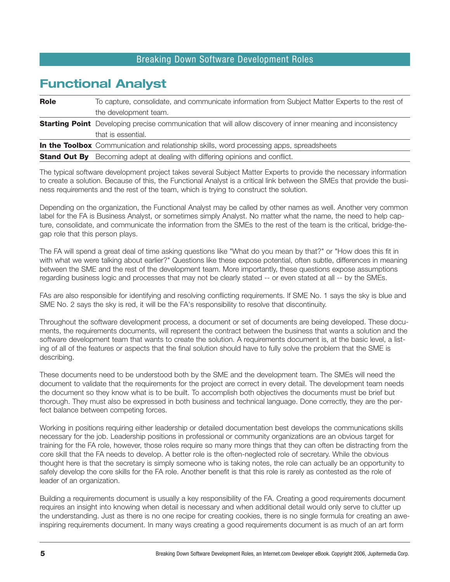# **Functional Analyst**

| <b>Role</b> | To capture, consolidate, and communicate information from Subject Matter Experts to the rest of                     |  |
|-------------|---------------------------------------------------------------------------------------------------------------------|--|
|             | the development team.                                                                                               |  |
|             | <b>Starting Point</b> Developing precise communication that will allow discovery of inner meaning and inconsistency |  |
|             | that is essential.                                                                                                  |  |
|             | <b>In the Toolbox</b> Communication and relationship skills, word processing apps, spreadsheets                     |  |
|             | <b>Stand Out By</b> Becoming adept at dealing with differing opinions and conflict.                                 |  |

The typical software development project takes several Subject Matter Experts to provide the necessary information to create a solution. Because of this, the Functional Analyst is a critical link between the SMEs that provide the business requirements and the rest of the team, which is trying to construct the solution.

Depending on the organization, the Functional Analyst may be called by other names as well. Another very common label for the FA is Business Analyst, or sometimes simply Analyst. No matter what the name, the need to help capture, consolidate, and communicate the information from the SMEs to the rest of the team is the critical, bridge-thegap role that this person plays.

The FA will spend a great deal of time asking questions like "What do you mean by that?" or "How does this fit in with what we were talking about earlier?" Questions like these expose potential, often subtle, differences in meaning between the SME and the rest of the development team. More importantly, these questions expose assumptions regarding business logic and processes that may not be clearly stated -- or even stated at all -- by the SMEs.

FAs are also responsible for identifying and resolving conflicting requirements. If SME No. 1 says the sky is blue and SME No. 2 says the sky is red, it will be the FA's responsibility to resolve that discontinuity.

Throughout the software development process, a document or set of documents are being developed. These documents, the requirements documents, will represent the contract between the business that wants a solution and the software development team that wants to create the solution. A requirements document is, at the basic level, a listing of all of the features or aspects that the final solution should have to fully solve the problem that the SME is describing.

These documents need to be understood both by the SME and the development team. The SMEs will need the document to validate that the requirements for the project are correct in every detail. The development team needs the document so they know what is to be built. To accomplish both objectives the documents must be brief but thorough. They must also be expressed in both business and technical language. Done correctly, they are the perfect balance between competing forces.

Working in positions requiring either leadership or detailed documentation best develops the communications skills necessary for the job. Leadership positions in professional or community organizations are an obvious target for training for the FA role, however, those roles require so many more things that they can often be distracting from the core skill that the FA needs to develop. A better role is the often-neglected role of secretary. While the obvious thought here is that the secretary is simply someone who is taking notes, the role can actually be an opportunity to safely develop the core skills for the FA role. Another benefit is that this role is rarely as contested as the role of leader of an organization.

Building a requirements document is usually a key responsibility of the FA. Creating a good requirements document requires an insight into knowing when detail is necessary and when additional detail would only serve to clutter up the understanding. Just as there is no one recipe for creating cookies, there is no single formula for creating an aweinspiring requirements document. In many ways creating a good requirements document is as much of an art form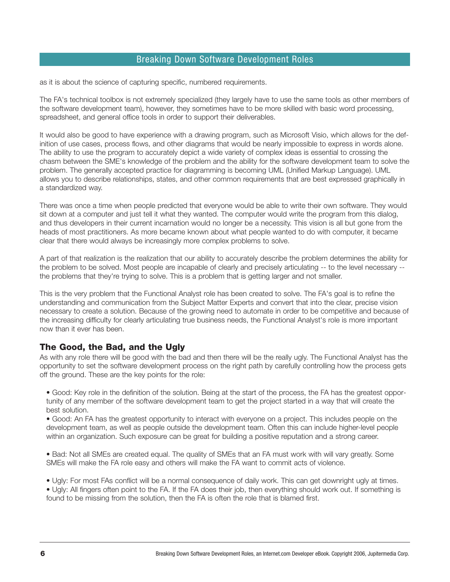as it is about the science of capturing specific, numbered requirements.

The FA's technical toolbox is not extremely specialized (they largely have to use the same tools as other members of the software development team), however, they sometimes have to be more skilled with basic word processing, spreadsheet, and general office tools in order to support their deliverables.

It would also be good to have experience with a drawing program, such as Microsoft Visio, which allows for the definition of use cases, process flows, and other diagrams that would be nearly impossible to express in words alone. The ability to use the program to accurately depict a wide variety of complex ideas is essential to crossing the chasm between the SME's knowledge of the problem and the ability for the software development team to solve the problem. The generally accepted practice for diagramming is becoming UML (Unified Markup Language). UML allows you to describe relationships, states, and other common requirements that are best expressed graphically in a standardized way.

There was once a time when people predicted that everyone would be able to write their own software. They would sit down at a computer and just tell it what they wanted. The computer would write the program from this dialog, and thus developers in their current incarnation would no longer be a necessity. This vision is all but gone from the heads of most practitioners. As more became known about what people wanted to do with computer, it became clear that there would always be increasingly more complex problems to solve.

A part of that realization is the realization that our ability to accurately describe the problem determines the ability for the problem to be solved. Most people are incapable of clearly and precisely articulating -- to the level necessary - the problems that they're trying to solve. This is a problem that is getting larger and not smaller.

This is the very problem that the Functional Analyst role has been created to solve. The FA's goal is to refine the understanding and communication from the Subject Matter Experts and convert that into the clear, precise vision necessary to create a solution. Because of the growing need to automate in order to be competitive and because of the increasing difficulty for clearly articulating true business needs, the Functional Analyst's role is more important now than it ever has been.

### **The Good, the Bad, and the Ugly**

As with any role there will be good with the bad and then there will be the really ugly. The Functional Analyst has the opportunity to set the software development process on the right path by carefully controlling how the process gets off the ground. These are the key points for the role:

• Good: Key role in the definition of the solution. Being at the start of the process, the FA has the greatest opportunity of any member of the software development team to get the project started in a way that will create the best solution.

• Good: An FA has the greatest opportunity to interact with everyone on a project. This includes people on the development team, as well as people outside the development team. Often this can include higher-level people within an organization. Such exposure can be great for building a positive reputation and a strong career.

• Bad: Not all SMEs are created equal. The quality of SMEs that an FA must work with will vary greatly. Some SMEs will make the FA role easy and others will make the FA want to commit acts of violence.

• Ugly: For most FAs conflict will be a normal consequence of daily work. This can get downright ugly at times.

• Ugly: All fingers often point to the FA. If the FA does their job, then everything should work out. If something is found to be missing from the solution, then the FA is often the role that is blamed first.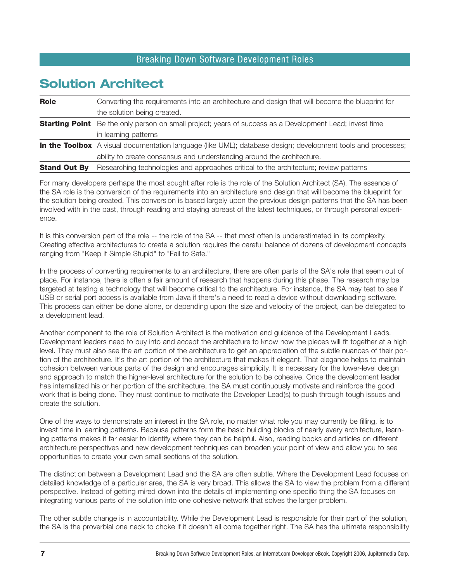# **Solution Architect**

| Role                | Converting the requirements into an architecture and design that will become the blueprint for                      |
|---------------------|---------------------------------------------------------------------------------------------------------------------|
|                     | the solution being created.                                                                                         |
|                     | <b>Starting Point</b> Be the only person on small project; years of success as a Development Lead; invest time      |
|                     | in learning patterns                                                                                                |
|                     | <b>In the Toolbox</b> A visual documentation language (like UML); database design; development tools and processes; |
|                     | ability to create consensus and understanding around the architecture.                                              |
| <b>Stand Out By</b> | Researching technologies and approaches critical to the architecture; review patterns                               |

For many developers perhaps the most sought after role is the role of the Solution Architect (SA). The essence of the SA role is the conversion of the requirements into an architecture and design that will become the blueprint for the solution being created. This conversion is based largely upon the previous design patterns that the SA has been involved with in the past, through reading and staying abreast of the latest techniques, or through personal experience.

It is this conversion part of the role -- the role of the SA -- that most often is underestimated in its complexity. Creating effective architectures to create a solution requires the careful balance of dozens of development concepts ranging from "Keep it Simple Stupid" to "Fail to Safe."

In the process of converting requirements to an architecture, there are often parts of the SA's role that seem out of place. For instance, there is often a fair amount of research that happens during this phase. The research may be targeted at testing a technology that will become critical to the architecture. For instance, the SA may test to see if USB or serial port access is available from Java if there's a need to read a device without downloading software. This process can either be done alone, or depending upon the size and velocity of the project, can be delegated to a development lead.

Another component to the role of Solution Architect is the motivation and guidance of the Development Leads. Development leaders need to buy into and accept the architecture to know how the pieces will fit together at a high level. They must also see the art portion of the architecture to get an appreciation of the subtle nuances of their portion of the architecture. It's the art portion of the architecture that makes it elegant. That elegance helps to maintain cohesion between various parts of the design and encourages simplicity. It is necessary for the lower-level design and approach to match the higher-level architecture for the solution to be cohesive. Once the development leader has internalized his or her portion of the architecture, the SA must continuously motivate and reinforce the good work that is being done. They must continue to motivate the Developer Lead(s) to push through tough issues and create the solution.

One of the ways to demonstrate an interest in the SA role, no matter what role you may currently be filling, is to invest time in learning patterns. Because patterns form the basic building blocks of nearly every architecture, learning patterns makes it far easier to identify where they can be helpful. Also, reading books and articles on different architecture perspectives and new development techniques can broaden your point of view and allow you to see opportunities to create your own small sections of the solution.

The distinction between a Development Lead and the SA are often subtle. Where the Development Lead focuses on detailed knowledge of a particular area, the SA is very broad. This allows the SA to view the problem from a different perspective. Instead of getting mired down into the details of implementing one specific thing the SA focuses on integrating various parts of the solution into one cohesive network that solves the larger problem.

The other subtle change is in accountability. While the Development Lead is responsible for their part of the solution, the SA is the proverbial one neck to choke if it doesn't all come together right. The SA has the ultimate responsibility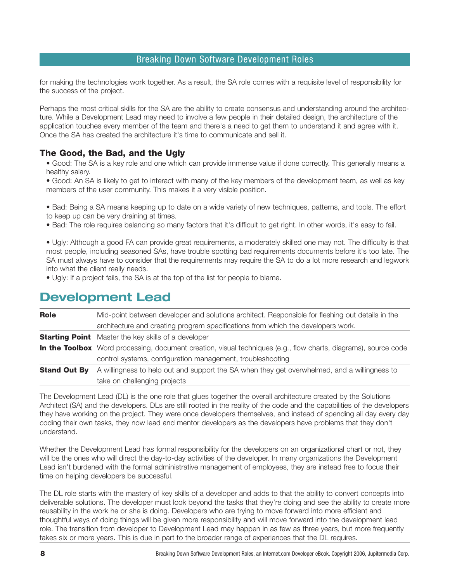for making the technologies work together. As a result, the SA role comes with a requisite level of responsibility for the success of the project.

Perhaps the most critical skills for the SA are the ability to create consensus and understanding around the architecture. While a Development Lead may need to involve a few people in their detailed design, the architecture of the application touches every member of the team and there's a need to get them to understand it and agree with it. Once the SA has created the architecture it's time to communicate and sell it.

### **The Good, the Bad, and the Ugly**

• Good: The SA is a key role and one which can provide immense value if done correctly. This generally means a healthy salary.

• Good: An SA is likely to get to interact with many of the key members of the development team, as well as key members of the user community. This makes it a very visible position.

- Bad: Being a SA means keeping up to date on a wide variety of new techniques, patterns, and tools. The effort to keep up can be very draining at times.
- Bad: The role requires balancing so many factors that it's difficult to get right. In other words, it's easy to fail.

• Ugly: Although a good FA can provide great requirements, a moderately skilled one may not. The difficulty is that most people, including seasoned SAs, have trouble spotting bad requirements documents before it's too late. The SA must always have to consider that the requirements may require the SA to do a lot more research and legwork into what the client really needs.

• Ugly: If a project fails, the SA is at the top of the list for people to blame.

# **Development Lead**

| Role                | Mid-point between developer and solutions architect. Responsible for fleshing out details in the                |
|---------------------|-----------------------------------------------------------------------------------------------------------------|
|                     | architecture and creating program specifications from which the developers work.                                |
|                     | <b>Starting Point</b> Master the key skills of a developer                                                      |
|                     | In the Toolbox Word processing, document creation, visual techniques (e.g., flow charts, diagrams), source code |
|                     | control systems, configuration management, troubleshooting                                                      |
| <b>Stand Out By</b> | A willingness to help out and support the SA when they get overwhelmed, and a willingness to                    |
|                     | take on challenging projects                                                                                    |

The Development Lead (DL) is the one role that glues together the overall architecture created by the Solutions Architect (SA) and the developers. DLs are still rooted in the reality of the code and the capabilities of the developers they have working on the project. They were once developers themselves, and instead of spending all day every day coding their own tasks, they now lead and mentor developers as the developers have problems that they don't understand.

Whether the Development Lead has formal responsibility for the developers on an organizational chart or not, they will be the ones who will direct the day-to-day activities of the developer. In many organizations the Development Lead isn't burdened with the formal administrative management of employees, they are instead free to focus their time on helping developers be successful.

The DL role starts with the mastery of key skills of a developer and adds to that the ability to convert concepts into deliverable solutions. The developer must look beyond the tasks that they're doing and see the ability to create more reusability in the work he or she is doing. Developers who are trying to move forward into more efficient and thoughtful ways of doing things will be given more responsibility and will move forward into the development lead role. The transition from developer to Development Lead may happen in as few as three years, but more frequently takes six or more years. This is due in part to the broader range of experiences that the DL requires.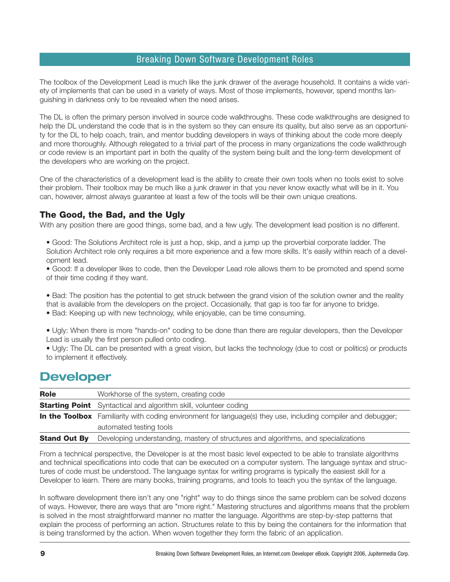The toolbox of the Development Lead is much like the junk drawer of the average household. It contains a wide variety of implements that can be used in a variety of ways. Most of those implements, however, spend months languishing in darkness only to be revealed when the need arises.

The DL is often the primary person involved in source code walkthroughs. These code walkthroughs are designed to help the DL understand the code that is in the system so they can ensure its quality, but also serve as an opportunity for the DL to help coach, train, and mentor budding developers in ways of thinking about the code more deeply and more thoroughly. Although relegated to a trivial part of the process in many organizations the code walkthrough or code review is an important part in both the quality of the system being built and the long-term development of the developers who are working on the project.

One of the characteristics of a development lead is the ability to create their own tools when no tools exist to solve their problem. Their toolbox may be much like a junk drawer in that you never know exactly what will be in it. You can, however, almost always guarantee at least a few of the tools will be their own unique creations.

### **The Good, the Bad, and the Ugly**

With any position there are good things, some bad, and a few ugly. The development lead position is no different.

• Good: The Solutions Architect role is just a hop, skip, and a jump up the proverbial corporate ladder. The Solution Architect role only requires a bit more experience and a few more skills. It's easily within reach of a development lead.

• Good: If a developer likes to code, then the Developer Lead role allows them to be promoted and spend some of their time coding if they want.

• Bad: The position has the potential to get struck between the grand vision of the solution owner and the reality that is available from the developers on the project. Occasionally, that gap is too far for anyone to bridge.

• Bad: Keeping up with new technology, while enjoyable, can be time consuming.

• Ugly: When there is more "hands-on" coding to be done than there are regular developers, then the Developer Lead is usually the first person pulled onto coding.

• Ugly: The DL can be presented with a great vision, but lacks the technology (due to cost or politics) or products to implement it effectively.

## **Developer**

| <b>Role</b>         | Workhorse of the system, creating code                                                                               |
|---------------------|----------------------------------------------------------------------------------------------------------------------|
|                     | <b>Starting Point</b> Syntactical and algorithm skill, volunteer coding                                              |
|                     | <b>In the Toolbox</b> Familiarity with coding environment for language(s) they use, including compiler and debugger; |
|                     | automated testing tools                                                                                              |
| <b>Stand Out By</b> | Developing understanding, mastery of structures and algorithms, and specializations                                  |

From a technical perspective, the Developer is at the most basic level expected to be able to translate algorithms and technical specifications into code that can be executed on a computer system. The language syntax and structures of code must be understood. The language syntax for writing programs is typically the easiest skill for a Developer to learn. There are many books, training programs, and tools to teach you the syntax of the language.

In software development there isn't any one "right" way to do things since the same problem can be solved dozens of ways. However, there are ways that are "more right." Mastering structures and algorithms means that the problem is solved in the most straightforward manner no matter the language. Algorithms are step-by-step patterns that explain the process of performing an action. Structures relate to this by being the containers for the information that is being transformed by the action. When woven together they form the fabric of an application.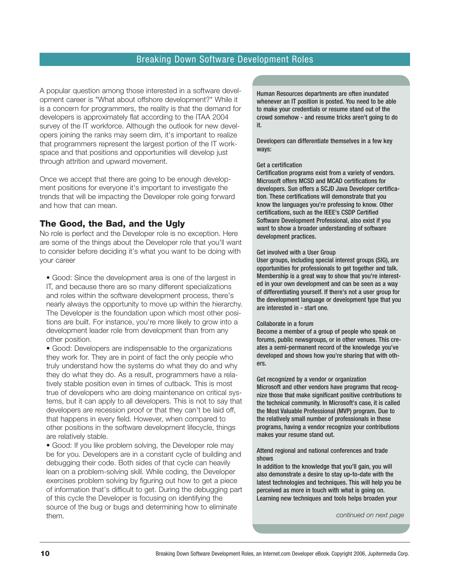A popular question among those interested in a software development career is "What about offshore development?" While it is a concern for programmers, the reality is that the demand for developers is approximately flat according to the ITAA 2004 survey of the IT workforce. Although the outlook for new developers joining the ranks may seem dim, it's important to realize that programmers represent the largest portion of the IT workspace and that positions and opportunities will develop just through attrition and upward movement.

Once we accept that there are going to be enough development positions for everyone it's important to investigate the trends that will be impacting the Developer role going forward and how that can mean.

### **The Good, the Bad, and the Ugly**

No role is perfect and the Developer role is no exception. Here are some of the things about the Developer role that you'll want to consider before deciding it's what you want to be doing with your career

• Good: Since the development area is one of the largest in IT, and because there are so many different specializations and roles within the software development process, there's nearly always the opportunity to move up within the hierarchy. The Developer is the foundation upon which most other positions are built. For instance, you're more likely to grow into a development leader role from development than from any other position.

• Good: Developers are indispensable to the organizations they work for. They are in point of fact the only people who truly understand how the systems do what they do and why they do what they do. As a result, programmers have a relatively stable position even in times of cutback. This is most true of developers who are doing maintenance on critical systems, but it can apply to all developers. This is not to say that developers are recession proof or that they can't be laid off, that happens in every field. However, when compared to other positions in the software development lifecycle, things are relatively stable.

• Good: If you like problem solving, the Developer role may be for you. Developers are in a constant cycle of building and debugging their code. Both sides of that cycle can heavily lean on a problem-solving skill. While coding, the Developer exercises problem solving by figuring out how to get a piece of information that's difficult to get. During the debugging part of this cycle the Developer is focusing on identifying the source of the bug or bugs and determining how to eliminate them.

Human Resources departments are often inundated whenever an IT position is posted. You need to be able to make your credentials or resume stand out of the crowd somehow - and resume tricks aren't going to do it.

Developers can differentiate themselves in a few key ways:

#### Get a certification

Certification programs exist from a variety of vendors. Microsoft offers MCSD and MCAD certifications for developers. Sun offers a SCJD Java Developer certification. These certifications will demonstrate that you know the languages you're professing to know. Other certifications, such as the IEEE's CSDP Certified Software Development Professional, also exist if you want to show a broader understanding of software development practices.

#### Get involved with a User Group

User groups, including special interest groups (SIG), are opportunities for professionals to get together and talk. Membership is a great way to show that you're interested in your own development and can be seen as a way of differentiating yourself. If there's not a user group for the development language or development type that you are interested in - start one.

#### Collaborate in a forum

Become a member of a group of people who speak on forums, public newsgroups, or in other venues. This creates a semi-permanent record of the knowledge you've developed and shows how you're sharing that with others.

Get recognized by a vendor or organization Microsoft and other vendors have programs that recognize those that make significant positive contributions to the technical community. In Microsoft's case, it is called the Most Valuable Professional (MVP) program. Due to the relatively small number of professionals in these programs, having a vendor recognize your contributions makes your resume stand out.

#### Attend regional and national conferences and trade shows

In addition to the knowledge that you'll gain, you will also demonstrate a desire to stay up-to-date with the latest technologies and techniques. This will help you be perceived as more in touch with what is going on. Learning new techniques and tools helps broaden your

*continued on next page*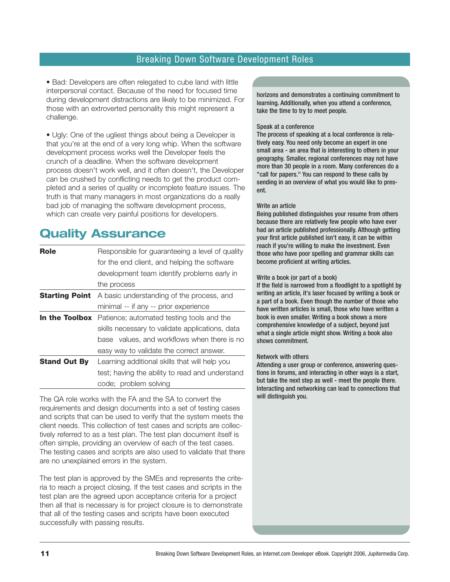• Bad: Developers are often relegated to cube land with little interpersonal contact. Because of the need for focused time during development distractions are likely to be minimized. For those with an extroverted personality this might represent a challenge.

• Ugly: One of the ugliest things about being a Developer is that you're at the end of a very long whip. When the software development process works well the Developer feels the crunch of a deadline. When the software development process doesn't work well, and it often doesn't, the Developer can be crushed by conflicting needs to get the product completed and a series of quality or incomplete feature issues. The truth is that many managers in most organizations do a really bad job of managing the software development process, which can create very painful positions for developers.

# **Quality Assurance**

| Role                | Responsible for guaranteeing a level of quality                 |
|---------------------|-----------------------------------------------------------------|
|                     | for the end client, and helping the software                    |
|                     | development team identify problems early in                     |
|                     | the process                                                     |
|                     | <b>Starting Point</b> A basic understanding of the process, and |
|                     | minimal -- if any -- prior experience                           |
|                     | <b>In the Toolbox</b> Patience; automated testing tools and the |
|                     | skills necessary to validate applications, data                 |
|                     | base values, and workflows when there is no                     |
|                     | easy way to validate the correct answer.                        |
| <b>Stand Out By</b> | Learning additional skills that will help you                   |
|                     | test; having the ability to read and understand                 |
|                     | code; problem solving                                           |

The QA role works with the FA and the SA to convert the requirements and design documents into a set of testing cases and scripts that can be used to verify that the system meets the client needs. This collection of test cases and scripts are collectively referred to as a test plan. The test plan document itself is often simple, providing an overview of each of the test cases. The testing cases and scripts are also used to validate that there are no unexplained errors in the system.

The test plan is approved by the SMEs and represents the criteria to reach a project closing. If the test cases and scripts in the test plan are the agreed upon acceptance criteria for a project then all that is necessary is for project closure is to demonstrate that all of the testing cases and scripts have been executed successfully with passing results.

horizons and demonstrates a continuing commitment to learning. Additionally, when you attend a conference, take the time to try to meet people.

#### Speak at a conference

The process of speaking at a local conference is relatively easy. You need only become an expert in one small area - an area that is interesting to others in your geography. Smaller, regional conferences may not have more than 30 people in a room. Many conferences do a "call for papers." You can respond to these calls by sending in an overview of what you would like to present.

#### Write an article

Being published distinguishes your resume from others because there are relatively few people who have ever had an article published professionally. Although getting your first article published isn't easy, it can be within reach if you're willing to make the investment. Even those who have poor spelling and grammar skills can become proficient at writing articles.

#### Write a book (or part of a book)

If the field is narrowed from a floodlight to a spotlight by writing an article, it's laser focused by writing a book or a part of a book. Even though the number of those who have written articles is small, those who have written a book is even smaller. Writing a book shows a more comprehensive knowledge of a subject, beyond just what a single article might show. Writing a book also shows commitment.

#### Network with others

Attending a user group or conference, answering questions in forums, and interacting in other ways is a start, but take the next step as well - meet the people there. Interacting and networking can lead to connections that will distinguish you.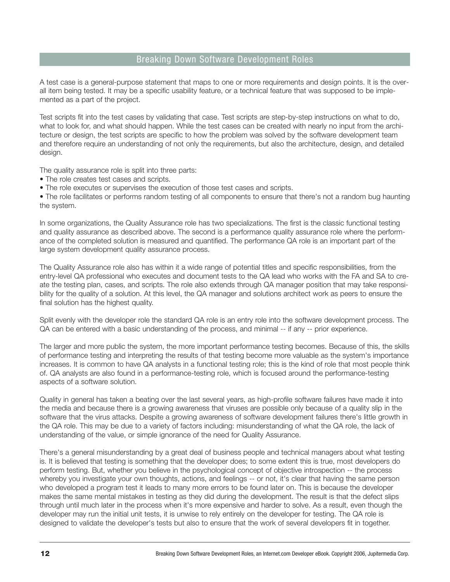A test case is a general-purpose statement that maps to one or more requirements and design points. It is the overall item being tested. It may be a specific usability feature, or a technical feature that was supposed to be implemented as a part of the project.

Test scripts fit into the test cases by validating that case. Test scripts are step-by-step instructions on what to do, what to look for, and what should happen. While the test cases can be created with nearly no input from the architecture or design, the test scripts are specific to how the problem was solved by the software development team and therefore require an understanding of not only the requirements, but also the architecture, design, and detailed design.

The quality assurance role is split into three parts:

- The role creates test cases and scripts.
- The role executes or supervises the execution of those test cases and scripts.

• The role facilitates or performs random testing of all components to ensure that there's not a random bug haunting the system.

In some organizations, the Quality Assurance role has two specializations. The first is the classic functional testing and quality assurance as described above. The second is a performance quality assurance role where the performance of the completed solution is measured and quantified. The performance QA role is an important part of the large system development quality assurance process.

The Quality Assurance role also has within it a wide range of potential titles and specific responsibilities, from the entry-level QA professional who executes and document tests to the QA lead who works with the FA and SA to create the testing plan, cases, and scripts. The role also extends through QA manager position that may take responsibility for the quality of a solution. At this level, the QA manager and solutions architect work as peers to ensure the final solution has the highest quality.

Split evenly with the developer role the standard QA role is an entry role into the software development process. The QA can be entered with a basic understanding of the process, and minimal -- if any -- prior experience.

The larger and more public the system, the more important performance testing becomes. Because of this, the skills of performance testing and interpreting the results of that testing become more valuable as the system's importance increases. It is common to have QA analysts in a functional testing role; this is the kind of role that most people think of. QA analysts are also found in a performance-testing role, which is focused around the performance-testing aspects of a software solution.

Quality in general has taken a beating over the last several years, as high-profile software failures have made it into the media and because there is a growing awareness that viruses are possible only because of a quality slip in the software that the virus attacks. Despite a growing awareness of software development failures there's little growth in the QA role. This may be due to a variety of factors including: misunderstanding of what the QA role, the lack of understanding of the value, or simple ignorance of the need for Quality Assurance.

There's a general misunderstanding by a great deal of business people and technical managers about what testing is. It is believed that testing is something that the developer does; to some extent this is true, most developers do perform testing. But, whether you believe in the psychological concept of objective introspection -- the process whereby you investigate your own thoughts, actions, and feelings -- or not, it's clear that having the same person who developed a program test it leads to many more errors to be found later on. This is because the developer makes the same mental mistakes in testing as they did during the development. The result is that the defect slips through until much later in the process when it's more expensive and harder to solve. As a result, even though the developer may run the initial unit tests, it is unwise to rely entirely on the developer for testing. The QA role is designed to validate the developer's tests but also to ensure that the work of several developers fit in together.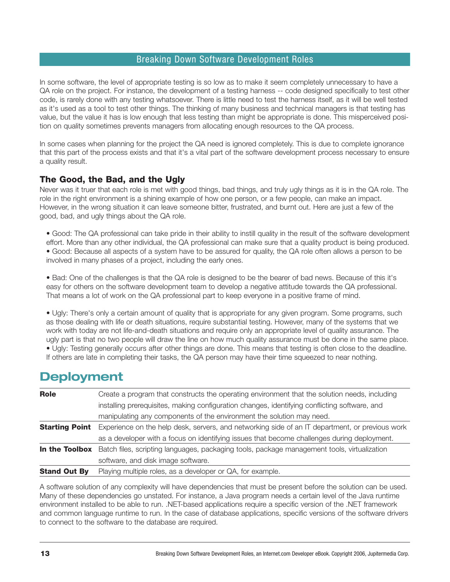In some software, the level of appropriate testing is so low as to make it seem completely unnecessary to have a QA role on the project. For instance, the development of a testing harness -- code designed specifically to test other code, is rarely done with any testing whatsoever. There is little need to test the harness itself, as it will be well tested as it's used as a tool to test other things. The thinking of many business and technical managers is that testing has value, but the value it has is low enough that less testing than might be appropriate is done. This misperceived position on quality sometimes prevents managers from allocating enough resources to the QA process.

In some cases when planning for the project the QA need is ignored completely. This is due to complete ignorance that this part of the process exists and that it's a vital part of the software development process necessary to ensure a quality result.

### **The Good, the Bad, and the Ugly**

Never was it truer that each role is met with good things, bad things, and truly ugly things as it is in the QA role. The role in the right environment is a shining example of how one person, or a few people, can make an impact. However, in the wrong situation it can leave someone bitter, frustrated, and burnt out. Here are just a few of the good, bad, and ugly things about the QA role.

• Good: The QA professional can take pride in their ability to instill quality in the result of the software development effort. More than any other individual, the QA professional can make sure that a quality product is being produced. • Good: Because all aspects of a system have to be assured for quality, the QA role often allows a person to be involved in many phases of a project, including the early ones.

• Bad: One of the challenges is that the QA role is designed to be the bearer of bad news. Because of this it's easy for others on the software development team to develop a negative attitude towards the QA professional. That means a lot of work on the QA professional part to keep everyone in a positive frame of mind.

• Ugly: There's only a certain amount of quality that is appropriate for any given program. Some programs, such as those dealing with life or death situations, require substantial testing. However, many of the systems that we work with today are not life-and-death situations and require only an appropriate level of quality assurance. The ugly part is that no two people will draw the line on how much quality assurance must be done in the same place. • Ugly: Testing generally occurs after other things are done. This means that testing is often close to the deadline. If others are late in completing their tasks, the QA person may have their time squeezed to near nothing.

### **Deployment**

| Role                | Create a program that constructs the operating environment that the solution needs, including                         |
|---------------------|-----------------------------------------------------------------------------------------------------------------------|
|                     | installing prerequisites, making configuration changes, identifying conflicting software, and                         |
|                     | manipulating any components of the environment the solution may need.                                                 |
|                     | <b>Starting Point</b> Experience on the help desk, servers, and networking side of an IT department, or previous work |
|                     | as a developer with a focus on identifying issues that become challenges during deployment.                           |
|                     | In the Toolbox Batch files, scripting languages, packaging tools, package management tools, virtualization            |
|                     | software, and disk image software.                                                                                    |
| <b>Stand Out By</b> | Playing multiple roles, as a developer or QA, for example.                                                            |
|                     |                                                                                                                       |

A software solution of any complexity will have dependencies that must be present before the solution can be used. Many of these dependencies go unstated. For instance, a Java program needs a certain level of the Java runtime environment installed to be able to run. .NET-based applications require a specific version of the .NET framework and common language runtime to run. In the case of database applications, specific versions of the software drivers to connect to the software to the database are required.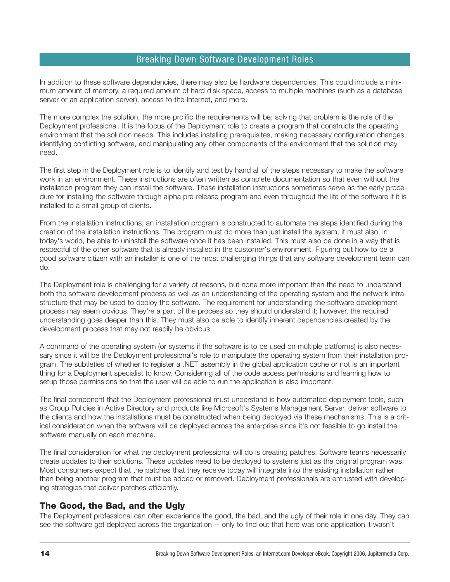In addition to these software dependencies, there may also be hardware dependencies. This could include a minimum amount of memory, a required amount of hard disk space, access to multiple machines (such as a database server or an application server), access to the Internet, and more.

The more complex the solution, the more prolific the requirements will be; solving that problem is the role of the Deployment professional. It is the focus of the Deployment role to create a program that constructs the operating environment that the solution needs. This includes installing prerequisites, making necessary configuration changes, identifying conflicting software, and manipulating any other components of the environment that the solution may need.

The first step in the Deployment role is to identify and test by hand all of the steps necessary to make the software work in an environment. These instructions are often written as complete documentation so that even without the installation program they can install the software. These installation instructions sometimes serve as the early procedure for installing the software through alpha pre-release program and even throughout the life of the software if it is installed to a small group of clients.

From the installation instructions, an installation program is constructed to automate the steps identified during the creation of the installation instructions. The program must do more than just install the system, it must also, in today's world, be able to uninstall the software once it has been installed. This must also be done in a way that is respectful of the other software that is already installed in the customer's environment. Figuring out how to be a good software citizen with an installer is one of the most challenging things that any software development team can do.

The Deployment role is challenging for a variety of reasons, but none more important than the need to understand both the software development process as well as an understanding of the operating system and the network infrastructure that may be used to deploy the software. The requirement for understanding the software development process may seem obvious. They're a part of the process so they should understand it; however, the required understanding goes deeper than this. They must also be able to identify inherent dependencies created by the development process that may not readily be obvious.

A command of the operating system (or systems if the software is to be used on multiple platforms) is also necessary since it will be the Deployment professional's role to manipulate the operating system from their installation program. The subtleties of whether to register a .NET assembly in the global application cache or not is an important thing for a Deployment specialist to know. Considering all of the code access permissions and learning how to setup those permissions so that the user will be able to run the application is also important.

The final component that the Deployment professional must understand is how automated deployment tools, such as Group Policies in Active Directory and products like Microsoft's Systems Management Server, deliver software to the clients and how the installations must be constructed when being deployed via these mechanisms. This is a critical consideration when the software will be deployed across the enterprise since it's not feasible to go install the software manually on each machine.

The final consideration for what the deployment professional will do is creating patches. Software teams necessarily create updates to their solutions. These updates need to be deployed to systems just as the original program was. Most consumers expect that the patches that they receive today will integrate into the existing installation rather than being another program that must be added or removed. Deployment professionals are entrusted with developing strategies that deliver patches efficiently.

### **The Good, the Bad, and the Ugly**

The Deployment professional can often experience the good, the bad, and the ugly of their role in one day. They can see the software get deployed across the organization -- only to find out that here was one application it wasn't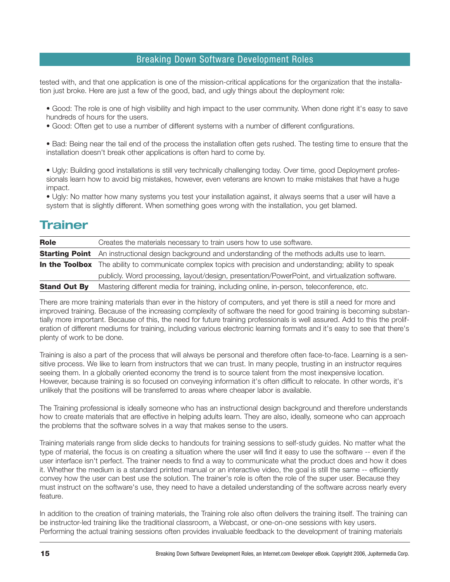tested with, and that one application is one of the mission-critical applications for the organization that the installation just broke. Here are just a few of the good, bad, and ugly things about the deployment role:

• Good: The role is one of high visibility and high impact to the user community. When done right it's easy to save hundreds of hours for the users.

• Good: Often get to use a number of different systems with a number of different configurations.

• Bad: Being near the tail end of the process the installation often gets rushed. The testing time to ensure that the installation doesn't break other applications is often hard to come by.

• Ugly: Building good installations is still very technically challenging today. Over time, good Deployment professionals learn how to avoid big mistakes, however, even veterans are known to make mistakes that have a huge impact.

• Ugly: No matter how many systems you test your installation against, it always seems that a user will have a system that is slightly different. When something goes wrong with the installation, you get blamed.

## **Trainer**

| <b>Role</b>         | Creates the materials necessary to train users how to use software.                                                |
|---------------------|--------------------------------------------------------------------------------------------------------------------|
|                     | <b>Starting Point</b> An instructional design background and understanding of the methods adults use to learn.     |
|                     | <b>In the Toolbox</b> The ability to communicate complex topics with precision and understanding; ability to speak |
|                     | publicly. Word processing, layout/design, presentation/PowerPoint, and virtualization software.                    |
| <b>Stand Out By</b> | Mastering different media for training, including online, in-person, teleconference, etc.                          |

There are more training materials than ever in the history of computers, and yet there is still a need for more and improved training. Because of the increasing complexity of software the need for good training is becoming substantially more important. Because of this, the need for future training professionals is well assured. Add to this the proliferation of different mediums for training, including various electronic learning formats and it's easy to see that there's plenty of work to be done.

Training is also a part of the process that will always be personal and therefore often face-to-face. Learning is a sensitive process. We like to learn from instructors that we can trust. In many people, trusting in an instructor requires seeing them. In a globally oriented economy the trend is to source talent from the most inexpensive location. However, because training is so focused on conveying information it's often difficult to relocate. In other words, it's unlikely that the positions will be transferred to areas where cheaper labor is available.

The Training professional is ideally someone who has an instructional design background and therefore understands how to create materials that are effective in helping adults learn. They are also, ideally, someone who can approach the problems that the software solves in a way that makes sense to the users.

Training materials range from slide decks to handouts for training sessions to self-study guides. No matter what the type of material, the focus is on creating a situation where the user will find it easy to use the software -- even if the user interface isn't perfect. The trainer needs to find a way to communicate what the product does and how it does it. Whether the medium is a standard printed manual or an interactive video, the goal is still the same -- efficiently convey how the user can best use the solution. The trainer's role is often the role of the super user. Because they must instruct on the software's use, they need to have a detailed understanding of the software across nearly every feature.

In addition to the creation of training materials, the Training role also often delivers the training itself. The training can be instructor-led training like the traditional classroom, a Webcast, or one-on-one sessions with key users. Performing the actual training sessions often provides invaluable feedback to the development of training materials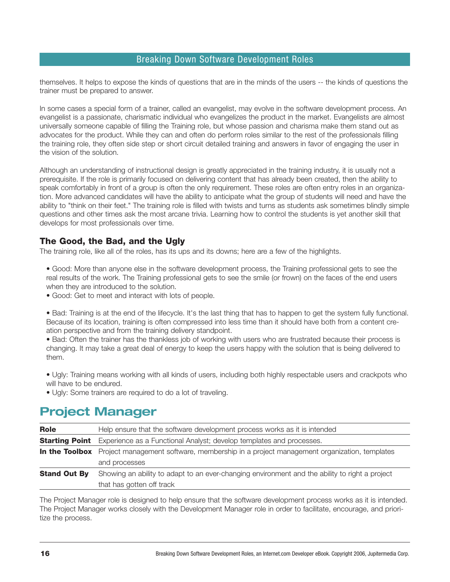themselves. It helps to expose the kinds of questions that are in the minds of the users -- the kinds of questions the trainer must be prepared to answer.

In some cases a special form of a trainer, called an evangelist, may evolve in the software development process. An evangelist is a passionate, charismatic individual who evangelizes the product in the market. Evangelists are almost universally someone capable of filling the Training role, but whose passion and charisma make them stand out as advocates for the product. While they can and often do perform roles similar to the rest of the professionals filling the training role, they often side step or short circuit detailed training and answers in favor of engaging the user in the vision of the solution.

Although an understanding of instructional design is greatly appreciated in the training industry, it is usually not a prerequisite. If the role is primarily focused on delivering content that has already been created, then the ability to speak comfortably in front of a group is often the only requirement. These roles are often entry roles in an organization. More advanced candidates will have the ability to anticipate what the group of students will need and have the ability to "think on their feet." The training role is filled with twists and turns as students ask sometimes blindly simple questions and other times ask the most arcane trivia. Learning how to control the students is yet another skill that develops for most professionals over time.

### **The Good, the Bad, and the Ugly**

The training role, like all of the roles, has its ups and its downs; here are a few of the highlights.

- Good: More than anyone else in the software development process, the Training professional gets to see the real results of the work. The Training professional gets to see the smile (or frown) on the faces of the end users when they are introduced to the solution.
- Good: Get to meet and interact with lots of people.
- Bad: Training is at the end of the lifecycle. It's the last thing that has to happen to get the system fully functional. Because of its location, training is often compressed into less time than it should have both from a content creation perspective and from the training delivery standpoint.

• Bad: Often the trainer has the thankless job of working with users who are frustrated because their process is changing. It may take a great deal of energy to keep the users happy with the solution that is being delivered to them.

- Ugly: Training means working with all kinds of users, including both highly respectable users and crackpots who will have to be endured.
- Ugly: Some trainers are required to do a lot of traveling.

## **Project Manager**

| Role                | Help ensure that the software development process works as it is intended                                     |  |
|---------------------|---------------------------------------------------------------------------------------------------------------|--|
|                     | <b>Starting Point</b> Experience as a Functional Analyst; develop templates and processes.                    |  |
|                     | <b>In the Toolbox</b> Project management software, membership in a project management organization, templates |  |
|                     | and processes                                                                                                 |  |
| <b>Stand Out By</b> | Showing an ability to adapt to an ever-changing environment and the ability to right a project                |  |
|                     | that has gotten off track                                                                                     |  |

The Project Manager role is designed to help ensure that the software development process works as it is intended. The Project Manager works closely with the Development Manager role in order to facilitate, encourage, and prioritize the process.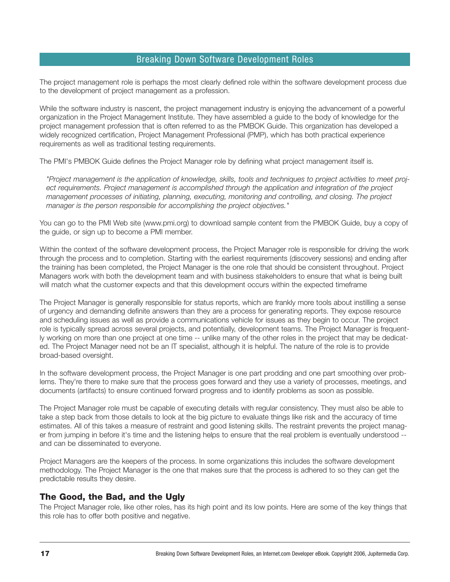The project management role is perhaps the most clearly defined role within the software development process due to the development of project management as a profession.

While the software industry is nascent, the project management industry is enjoying the advancement of a powerful organization in the Project Management Institute. They have assembled a guide to the body of knowledge for the project management profession that is often referred to as the PMBOK Guide. This organization has developed a widely recognized certification, Project Management Professional (PMP), which has both practical experience requirements as well as traditional testing requirements.

The PMI's PMBOK Guide defines the Project Manager role by defining what project management itself is.

*"Project management is the application of knowledge, skills, tools and techniques to project activities to meet project requirements. Project management is accomplished through the application and integration of the project management processes of initiating, planning, executing, monitoring and controlling, and closing. The project manager is the person responsible for accomplishing the project objectives."* 

You can go to the PMI Web site (www.pmi.org) to download sample content from the PMBOK Guide, buy a copy of the guide, or sign up to become a PMI member.

Within the context of the software development process, the Project Manager role is responsible for driving the work through the process and to completion. Starting with the earliest requirements (discovery sessions) and ending after the training has been completed, the Project Manager is the one role that should be consistent throughout. Project Managers work with both the development team and with business stakeholders to ensure that what is being built will match what the customer expects and that this development occurs within the expected timeframe

The Project Manager is generally responsible for status reports, which are frankly more tools about instilling a sense of urgency and demanding definite answers than they are a process for generating reports. They expose resource and scheduling issues as well as provide a communications vehicle for issues as they begin to occur. The project role is typically spread across several projects, and potentially, development teams. The Project Manager is frequently working on more than one project at one time -- unlike many of the other roles in the project that may be dedicated. The Project Manager need not be an IT specialist, although it is helpful. The nature of the role is to provide broad-based oversight.

In the software development process, the Project Manager is one part prodding and one part smoothing over problems. They're there to make sure that the process goes forward and they use a variety of processes, meetings, and documents (artifacts) to ensure continued forward progress and to identify problems as soon as possible.

The Project Manager role must be capable of executing details with regular consistency. They must also be able to take a step back from those details to look at the big picture to evaluate things like risk and the accuracy of time estimates. All of this takes a measure of restraint and good listening skills. The restraint prevents the project manager from jumping in before it's time and the listening helps to ensure that the real problem is eventually understood - and can be disseminated to everyone.

Project Managers are the keepers of the process. In some organizations this includes the software development methodology. The Project Manager is the one that makes sure that the process is adhered to so they can get the predictable results they desire.

### **The Good, the Bad, and the Ugly**

The Project Manager role, like other roles, has its high point and its low points. Here are some of the key things that this role has to offer both positive and negative.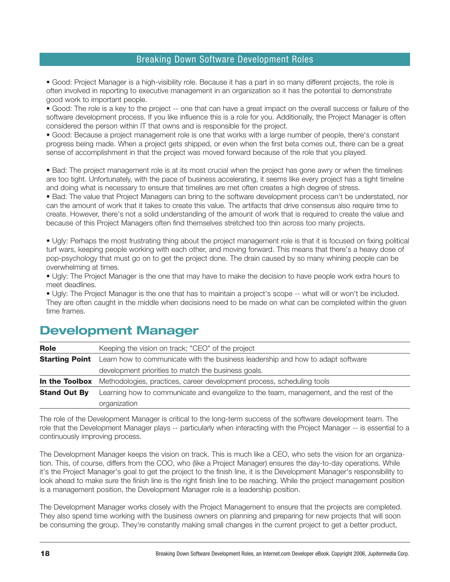• Good: Project Manager is a high-visibility role. Because it has a part in so many different projects, the role is often involved in reporting to executive management in an organization so it has the potential to demonstrate good work to important people.

• Good: The role is a key to the project -- one that can have a great impact on the overall success or failure of the software development process. If you like influence this is a role for you. Additionally, the Project Manager is often considered the person within IT that owns and is responsible for the project.

• Good: Because a project management role is one that works with a large number of people, there's constant progress being made. When a project gets shipped, or even when the first beta comes out, there can be a great sense of accomplishment in that the project was moved forward because of the role that you played.

• Bad: The project management role is at its most crucial when the project has gone awry or when the timelines are too tight. Unfortunately, with the pace of business accelerating, it seems like every project has a tight timeline and doing what is necessary to ensure that timelines are met often creates a high degree of stress.

• Bad: The value that Project Managers can bring to the software development process can't be understated, nor can the amount of work that it takes to create this value. The artifacts that drive consensus also require time to create. However, there's not a solid understanding of the amount of work that is required to create the value and because of this Project Managers often find themselves stretched too thin across too many projects.

• Ugly: Perhaps the most frustrating thing about the project management role is that it is focused on fixing political turf wars, keeping people working with each other, and moving forward. This means that there's a heavy dose of pop-psychology that must go on to get the project done. The drain caused by so many whining people can be overwhelming at times.

• Ugly: The Project Manager is the one that may have to make the decision to have people work extra hours to meet deadlines.

• Ugly: The Project Manager is the one that has to maintain a project's scope -- what will or won't be included. They are often caught in the middle when decisions need to be made on what can be completed within the given time frames.

| <b>Role</b>           | Keeping the vision on track; "CEO" of the project                                       |
|-----------------------|-----------------------------------------------------------------------------------------|
| <b>Starting Point</b> | Learn how to communicate with the business leadership and how to adapt software         |
|                       | development priorities to match the business goals.                                     |
| In the Toolbox        | Methodologies, practices, career development process, scheduling tools                  |
| <b>Stand Out By</b>   | Learning how to communicate and evangelize to the team, management, and the rest of the |
|                       | organization                                                                            |

## **Development Manager**

The role of the Development Manager is critical to the long-term success of the software development team. The role that the Development Manager plays -- particularly when interacting with the Project Manager -- is essential to a continuously improving process.

The Development Manager keeps the vision on track. This is much like a CEO, who sets the vision for an organization. This, of course, differs from the COO, who (like a Project Manager) ensures the day-to-day operations. While it's the Project Manager's goal to get the project to the finish line, it is the Development Manager's responsibility to look ahead to make sure the finish line is the right finish line to be reaching. While the project management position is a management position, the Development Manager role is a leadership position.

The Development Manager works closely with the Project Management to ensure that the projects are completed. They also spend time working with the business owners on planning and preparing for new projects that will soon be consuming the group. They're constantly making small changes in the current project to get a better product,